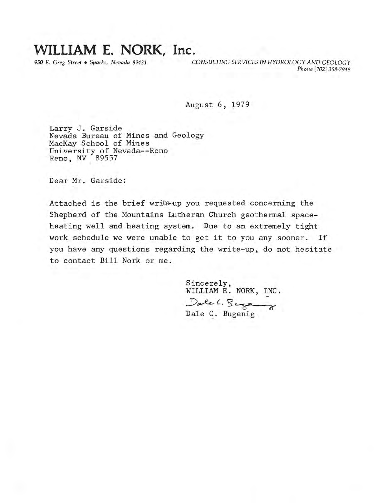## WILLIAM E. NORK, Inc.

950 E. Greg Street · Sparks, Nevada 89431

CONSULTING SERVICES IN HYDROLOGY AND GEOLOGY Phone [702] 358-7949

August 6, 1979

Larry J. Garside Nevada Bureau of Mines and Geology MacKay School of Mines University of Nevada--Reno Reno, NV 89557

Dear Mr. Garside:

Attached is the brief write-up you requested concerning the Shepherd of the Mountains Lutheran Church geothermal spaceheating well and heating system. Due to an extremely tight work schedule we were unable to get it to you any sooner. If you have any questions regarding the write-up, do not hesitate to contact Bill Nork or me.

> Sincerely, WILLIAM E. NORK, INC. Dale C. Bugenig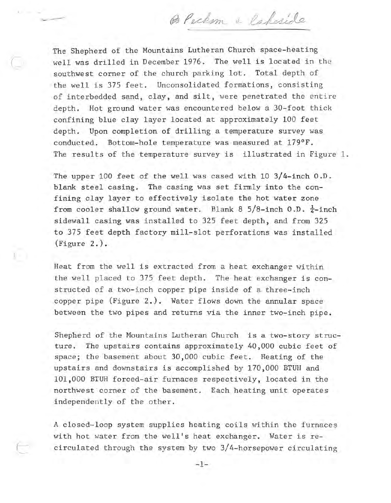B Peckom & laberide

The Shepherd of the Mountains Lutheran Church space-heating<br>well was drilled in December 1976. The well is located in the southwest corner of the church parking lot. Total depth of the well is 375 feet. Unconsolidated formations, consisting of interbedded sand, clay, and silt, were penetrated the entire depth. Hot ground water was encountered below a 30-foot thick confining blue clay layer located at approximately 100 feet depth. Upon completion of drilling a temperature survey was conducted. Bottom-hole temperature was measured at  $179^{\circ}$  F. The results of the temperature survey is illustrated in Figure 1.

The upper 100 feet of the well was cased with 10 3/4-inch O.D. blank steel casing. The casing was set firmly into the confining clay layer to effectively isolate the hot water zone from cooler shallow ground water. Blank 8 5/8-inch 0.D.  $\frac{1}{4}$ -inch sidewall casing was installed to 325 feet depth, and from 325 to 375 feet depth factory mill-slot perforations was installed (Figure 2.).

Heat from the well is extracted from a heat exchanger within the well placed to 375 feet depth. The heat exchanger is constructed of a two-inch copper pipe inside of a three-inch copper pipe  $(Figure 2.)$ . Water flows down the annular space between the two pipes and returns via the inner two-inch pipe.

 $\mathbf{C}$ 

Shepherd of the Mountains Lutheran Church is a two-story structure. The upstairs contains approximately 40,000 cubic feet of space; the basement about 30,000 cubic feet. Heating of the upstairs and dovmstairs is accomplished by 170,000 BTUH and 101,000 BTUH forced-air furnaces respectively, located in the northwest corner of the basement. Each heating unit operates independently of the other.

A closed-loop system supplies heating coils within the furnaces with hot water from the well's heat exchanger. Water is recirculated through the system by two 3/4-horsepower circulating

 $-1-$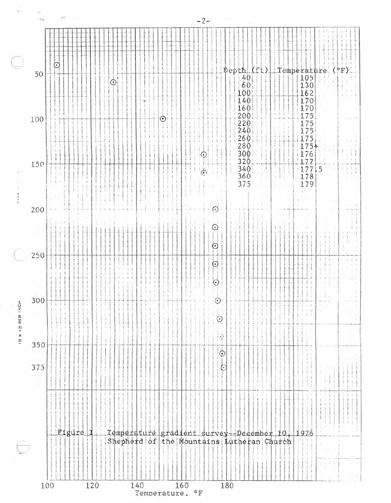

 $-2-$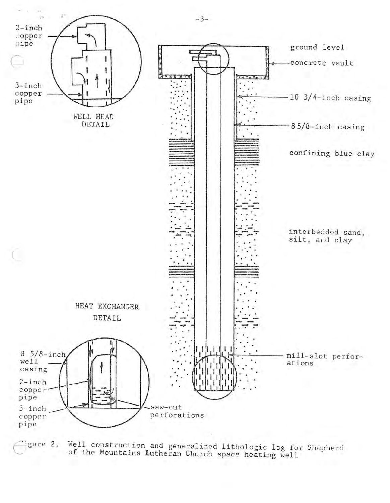

Well construction and generalized lithologic log for Shepherd<br>of the Mountains Lutheran Church space heating well *igure* 2.